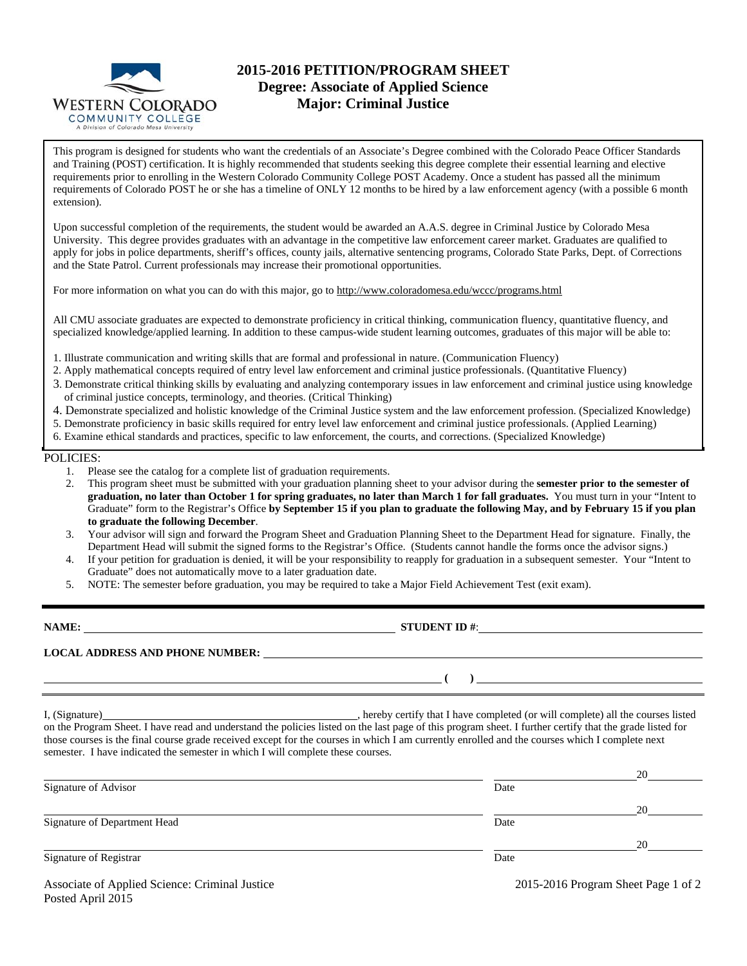

# **2015-2016 PETITION/PROGRAM SHEET Degree: Associate of Applied Science Major: Criminal Justice**

This program is designed for students who want the credentials of an Associate's Degree combined with the Colorado Peace Officer Standards and Training (POST) certification. It is highly recommended that students seeking this degree complete their essential learning and elective requirements prior to enrolling in the Western Colorado Community College POST Academy. Once a student has passed all the minimum requirements of Colorado POST he or she has a timeline of ONLY 12 months to be hired by a law enforcement agency (with a possible 6 month extension).

Upon successful completion of the requirements, the student would be awarded an A.A.S. degree in Criminal Justice by Colorado Mesa University. This degree provides graduates with an advantage in the competitive law enforcement career market. Graduates are qualified to apply for jobs in police departments, sheriff's offices, county jails, alternative sentencing programs, Colorado State Parks, Dept. of Corrections and the State Patrol. Current professionals may increase their promotional opportunities.

For more information on what you can do with this major, go to http://www.coloradomesa.edu/wccc/programs.html

All CMU associate graduates are expected to demonstrate proficiency in critical thinking, communication fluency, quantitative fluency, and specialized knowledge/applied learning. In addition to these campus-wide student learning outcomes, graduates of this major will be able to:

- 1. Illustrate communication and writing skills that are formal and professional in nature. (Communication Fluency)
- 2. Apply mathematical concepts required of entry level law enforcement and criminal justice professionals. (Quantitative Fluency)
- 3. Demonstrate critical thinking skills by evaluating and analyzing contemporary issues in law enforcement and criminal justice using knowledge of criminal justice concepts, terminology, and theories. (Critical Thinking)
- 4. Demonstrate specialized and holistic knowledge of the Criminal Justice system and the law enforcement profession. (Specialized Knowledge)
- 5. Demonstrate proficiency in basic skills required for entry level law enforcement and criminal justice professionals. (Applied Learning)
- 6. Examine ethical standards and practices, specific to law enforcement, the courts, and corrections. (Specialized Knowledge)

## POLICIES:

Posted April 2015

- 1. Please see the catalog for a complete list of graduation requirements.
- 2. This program sheet must be submitted with your graduation planning sheet to your advisor during the **semester prior to the semester of graduation, no later than October 1 for spring graduates, no later than March 1 for fall graduates.** You must turn in your "Intent to Graduate" form to the Registrar's Office **by September 15 if you plan to graduate the following May, and by February 15 if you plan to graduate the following December**.
- 3. Your advisor will sign and forward the Program Sheet and Graduation Planning Sheet to the Department Head for signature. Finally, the Department Head will submit the signed forms to the Registrar's Office. (Students cannot handle the forms once the advisor signs.)
- 4. If your petition for graduation is denied, it will be your responsibility to reapply for graduation in a subsequent semester. Your "Intent to Graduate" does not automatically move to a later graduation date.
- 5. NOTE: The semester before graduation, you may be required to take a Major Field Achievement Test (exit exam).

| NAME:                                                                           | STUDENT ID $\#$ :                                                                                                                                                                                                                                                                                          |  |
|---------------------------------------------------------------------------------|------------------------------------------------------------------------------------------------------------------------------------------------------------------------------------------------------------------------------------------------------------------------------------------------------------|--|
|                                                                                 | LOCAL ADDRESS AND PHONE NUMBER: University of the state of the state of the state of the state of the state of the state of the state of the state of the state of the state of the state of the state of the state of the sta                                                                             |  |
|                                                                                 | <u> 1989 - Andrea Stadt Britain, amerikansk politik (</u>                                                                                                                                                                                                                                                  |  |
| semester. I have indicated the semester in which I will complete these courses. | on the Program Sheet. I have read and understand the policies listed on the last page of this program sheet. I further certify that the grade listed for<br>those courses is the final course grade received except for the courses in which I am currently enrolled and the courses which I complete next |  |
|                                                                                 | 20                                                                                                                                                                                                                                                                                                         |  |

|                                                |                                     | $\sim$ |
|------------------------------------------------|-------------------------------------|--------|
| Signature of Advisor                           | Date                                |        |
|                                                |                                     | 20     |
| Signature of Department Head                   | Date                                |        |
|                                                |                                     | 20     |
| Signature of Registrar                         | Date                                |        |
| Associate of Applied Science: Criminal Justice | 2015-2016 Program Sheet Page 1 of 2 |        |